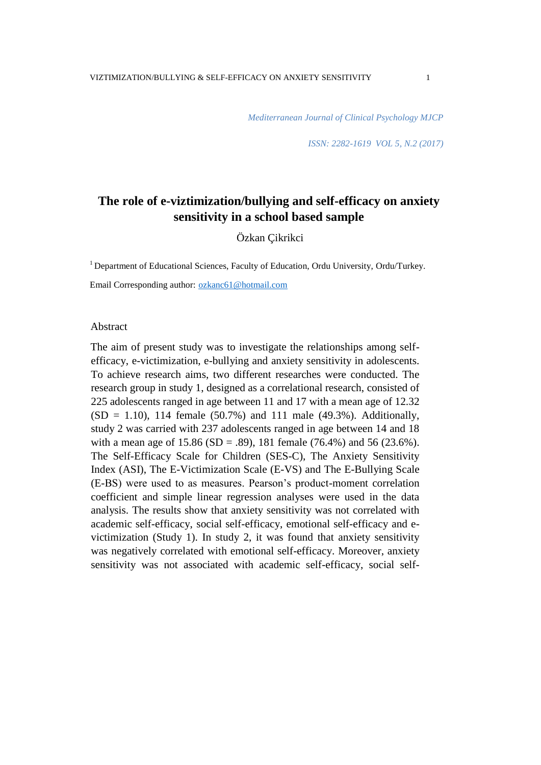*Mediterranean Journal of Clinical Psychology MJCP* 

*ISSN: 2282-1619 VOL 5, N.2 (2017)* 

# **The role of e-viztimization/bullying and self-efficacy on anxiety sensitivity in a school based sample**

Özkan Çikrikci

<sup>1</sup> Department of Educational Sciences, Faculty of Education, Ordu University, Ordu/Turkey.

Email Corresponding author: [ozkanc61@hotmail.com](mailto:ozkanc61@hotmail.com)

#### Abstract

The aim of present study was to investigate the relationships among selfefficacy, e-victimization, e-bullying and anxiety sensitivity in adolescents. To achieve research aims, two different researches were conducted. The research group in study 1, designed as a correlational research, consisted of 225 adolescents ranged in age between 11 and 17 with a mean age of 12.32  $(SD = 1.10)$ , 114 female (50.7%) and 111 male (49.3%). Additionally, study 2 was carried with 237 adolescents ranged in age between 14 and 18 with a mean age of  $15.86$  (SD = .89), 181 female (76.4%) and 56 (23.6%). The Self-Efficacy Scale for Children (SES-C), The Anxiety Sensitivity Index (ASI), The E-Victimization Scale (E-VS) and The E-Bullying Scale (E-BS) were used to as measures. Pearson"s product-moment correlation coefficient and simple linear regression analyses were used in the data analysis. The results show that anxiety sensitivity was not correlated with academic self-efficacy, social self-efficacy, emotional self-efficacy and evictimization (Study 1). In study 2, it was found that anxiety sensitivity was negatively correlated with emotional self-efficacy. Moreover, anxiety sensitivity was not associated with academic self-efficacy, social self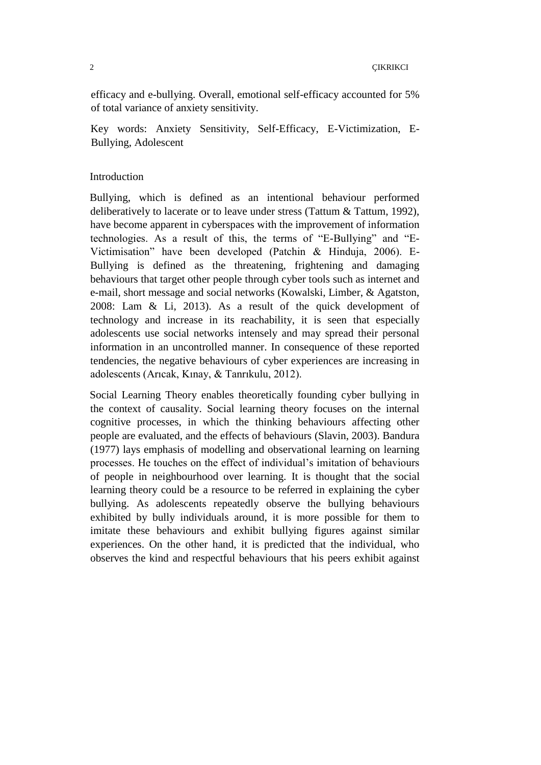efficacy and e-bullying. Overall, emotional self-efficacy accounted for 5% of total variance of anxiety sensitivity.

Key words: Anxiety Sensitivity, Self-Efficacy, E-Victimization, E-Bullying, Adolescent

# Introduction

Bullying, which is defined as an intentional behaviour performed deliberatively to lacerate or to leave under stress (Tattum & Tattum, 1992), have become apparent in cyberspaces with the improvement of information technologies. As a result of this, the terms of "E-Bullying" and "E-Victimisation" have been developed (Patchin & Hinduja, 2006). E-Bullying is defined as the threatening, frightening and damaging behaviours that target other people through cyber tools such as internet and e-mail, short message and social networks (Kowalski, Limber, & Agatston, 2008: Lam & Li, 2013). As a result of the quick development of technology and increase in its reachability, it is seen that especially adolescents use social networks intensely and may spread their personal information in an uncontrolled manner. In consequence of these reported tendencies, the negative behaviours of cyber experiences are increasing in adolescents (Arıcak, Kınay, & Tanrıkulu, 2012).

Social Learning Theory enables theoretically founding cyber bullying in the context of causality. Social learning theory focuses on the internal cognitive processes, in which the thinking behaviours affecting other people are evaluated, and the effects of behaviours (Slavin, 2003). Bandura (1977) lays emphasis of modelling and observational learning on learning processes. He touches on the effect of individual"s imitation of behaviours of people in neighbourhood over learning. It is thought that the social learning theory could be a resource to be referred in explaining the cyber bullying. As adolescents repeatedly observe the bullying behaviours exhibited by bully individuals around, it is more possible for them to imitate these behaviours and exhibit bullying figures against similar experiences. On the other hand, it is predicted that the individual, who observes the kind and respectful behaviours that his peers exhibit against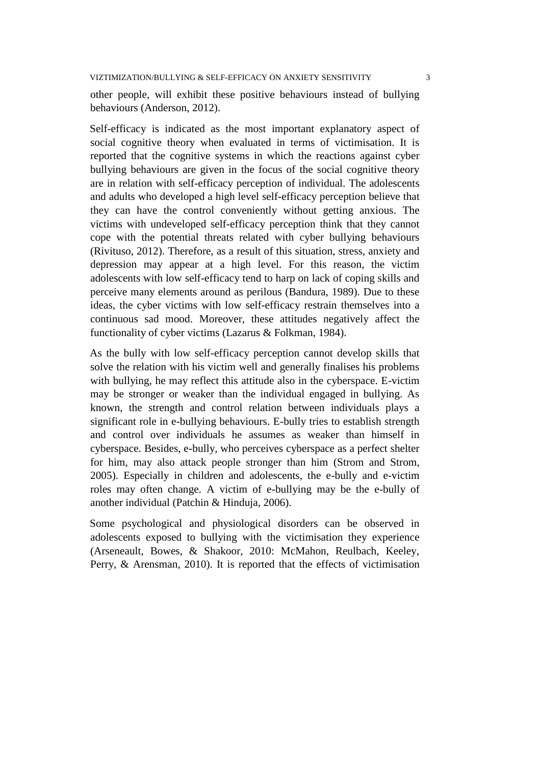VIZTIMIZATION/BULLYING & SELF-EFFICACY ON ANXIETY SENSITIVITY 3

other people, will exhibit these positive behaviours instead of bullying behaviours (Anderson, 2012).

Self-efficacy is indicated as the most important explanatory aspect of social cognitive theory when evaluated in terms of victimisation. It is reported that the cognitive systems in which the reactions against cyber bullying behaviours are given in the focus of the social cognitive theory are in relation with self-efficacy perception of individual. The adolescents and adults who developed a high level self-efficacy perception believe that they can have the control conveniently without getting anxious. The victims with undeveloped self-efficacy perception think that they cannot cope with the potential threats related with cyber bullying behaviours (Rivituso, 2012). Therefore, as a result of this situation, stress, anxiety and depression may appear at a high level. For this reason, the victim adolescents with low self-efficacy tend to harp on lack of coping skills and perceive many elements around as perilous (Bandura, 1989). Due to these ideas, the cyber victims with low self-efficacy restrain themselves into a continuous sad mood. Moreover, these attitudes negatively affect the functionality of cyber victims (Lazarus & Folkman, 1984).

As the bully with low self-efficacy perception cannot develop skills that solve the relation with his victim well and generally finalises his problems with bullying, he may reflect this attitude also in the cyberspace. E-victim may be stronger or weaker than the individual engaged in bullying. As known, the strength and control relation between individuals plays a significant role in e-bullying behaviours. E-bully tries to establish strength and control over individuals he assumes as weaker than himself in cyberspace. Besides, e-bully, who perceives cyberspace as a perfect shelter for him, may also attack people stronger than him (Strom and Strom, 2005). Especially in children and adolescents, the e-bully and e-victim roles may often change. A victim of e-bullying may be the e-bully of another individual (Patchin & Hinduja, 2006).

Some psychological and physiological disorders can be observed in adolescents exposed to bullying with the victimisation they experience (Arseneault, Bowes, & Shakoor, 2010: McMahon, Reulbach, Keeley, Perry, & Arensman, 2010). It is reported that the effects of victimisation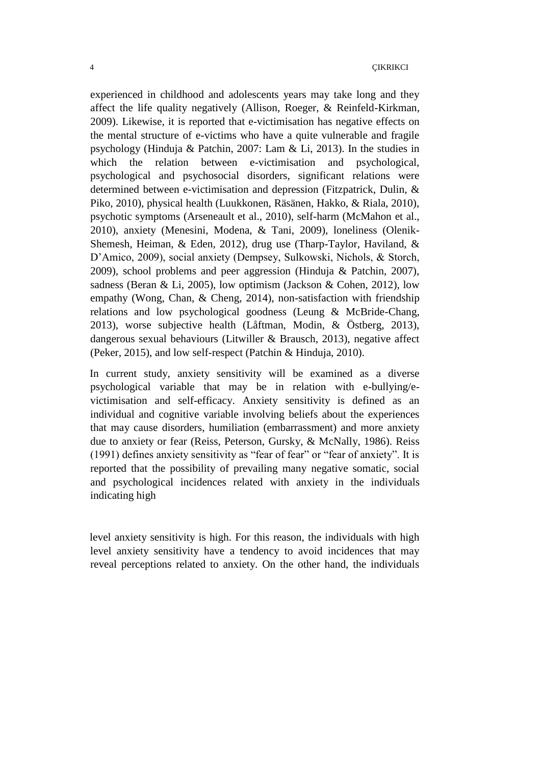experienced in childhood and adolescents years may take long and they affect the life quality negatively (Allison, Roeger, & Reinfeld-Kirkman, 2009). Likewise, it is reported that e-victimisation has negative effects on the mental structure of e-victims who have a quite vulnerable and fragile psychology (Hinduja & Patchin, 2007: Lam & Li, 2013). In the studies in which the relation between e-victimisation and psychological, psychological and psychosocial disorders, significant relations were determined between e-victimisation and depression (Fitzpatrick, Dulin, & Piko, 2010), physical health (Luukkonen, Räsänen, Hakko, & Riala, 2010), psychotic symptoms (Arseneault et al., 2010), self-harm (McMahon et al., 2010), anxiety (Menesini, Modena, & Tani, 2009), loneliness (Olenik-Shemesh, Heiman, & Eden, 2012), drug use (Tharp-Taylor, Haviland, & D"Amico, 2009), social anxiety (Dempsey, Sulkowski, Nichols, & Storch, 2009), school problems and peer aggression (Hinduja & Patchin, 2007), sadness (Beran & Li, 2005), low optimism (Jackson & Cohen, 2012), low empathy (Wong, Chan, & Cheng, 2014), non-satisfaction with friendship relations and low psychological goodness (Leung & McBride-Chang, 2013), worse subjective health (Låftman, Modin, & Östberg, 2013), dangerous sexual behaviours (Litwiller & Brausch, 2013), negative affect (Peker, 2015), and low self-respect (Patchin & Hinduja, 2010).

In current study, anxiety sensitivity will be examined as a diverse psychological variable that may be in relation with e-bullying/evictimisation and self-efficacy. Anxiety sensitivity is defined as an individual and cognitive variable involving beliefs about the experiences that may cause disorders, humiliation (embarrassment) and more anxiety due to anxiety or fear (Reiss, Peterson, Gursky, & McNally, 1986). Reiss (1991) defines anxiety sensitivity as "fear of fear" or "fear of anxiety". It is reported that the possibility of prevailing many negative somatic, social and psychological incidences related with anxiety in the individuals indicating high

level anxiety sensitivity is high. For this reason, the individuals with high level anxiety sensitivity have a tendency to avoid incidences that may reveal perceptions related to anxiety. On the other hand, the individuals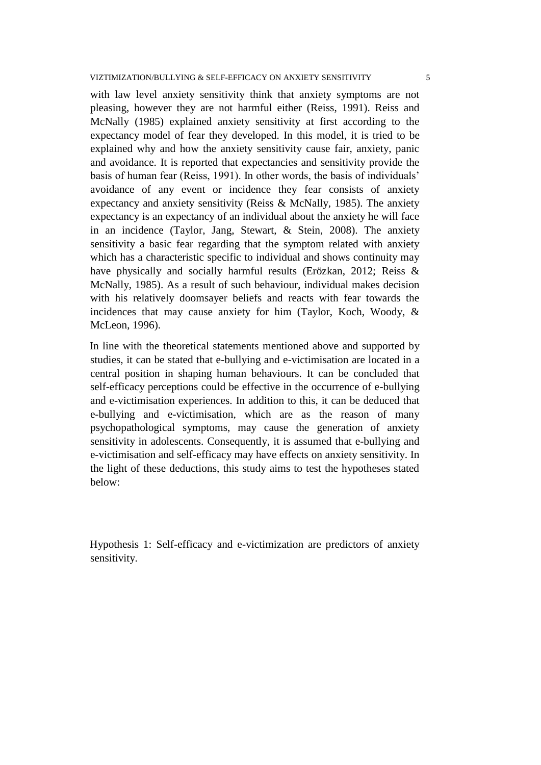with law level anxiety sensitivity think that anxiety symptoms are not pleasing, however they are not harmful either (Reiss, 1991). Reiss and McNally (1985) explained anxiety sensitivity at first according to the expectancy model of fear they developed. In this model, it is tried to be explained why and how the anxiety sensitivity cause fair, anxiety, panic and avoidance. It is reported that expectancies and sensitivity provide the basis of human fear (Reiss, 1991). In other words, the basis of individuals" avoidance of any event or incidence they fear consists of anxiety expectancy and anxiety sensitivity (Reiss & McNally, 1985). The anxiety expectancy is an expectancy of an individual about the anxiety he will face in an incidence (Taylor, Jang, Stewart, & Stein, 2008). The anxiety sensitivity a basic fear regarding that the symptom related with anxiety which has a characteristic specific to individual and shows continuity may have physically and socially harmful results (Erözkan, 2012; Reiss & McNally, 1985). As a result of such behaviour, individual makes decision with his relatively doomsayer beliefs and reacts with fear towards the incidences that may cause anxiety for him (Taylor, Koch, Woody, & McLeon, 1996).

In line with the theoretical statements mentioned above and supported by studies, it can be stated that e-bullying and e-victimisation are located in a central position in shaping human behaviours. It can be concluded that self-efficacy perceptions could be effective in the occurrence of e-bullying and e-victimisation experiences. In addition to this, it can be deduced that e-bullying and e-victimisation, which are as the reason of many psychopathological symptoms, may cause the generation of anxiety sensitivity in adolescents. Consequently, it is assumed that e-bullying and e-victimisation and self-efficacy may have effects on anxiety sensitivity. In the light of these deductions, this study aims to test the hypotheses stated below:

Hypothesis 1: Self-efficacy and e-victimization are predictors of anxiety sensitivity.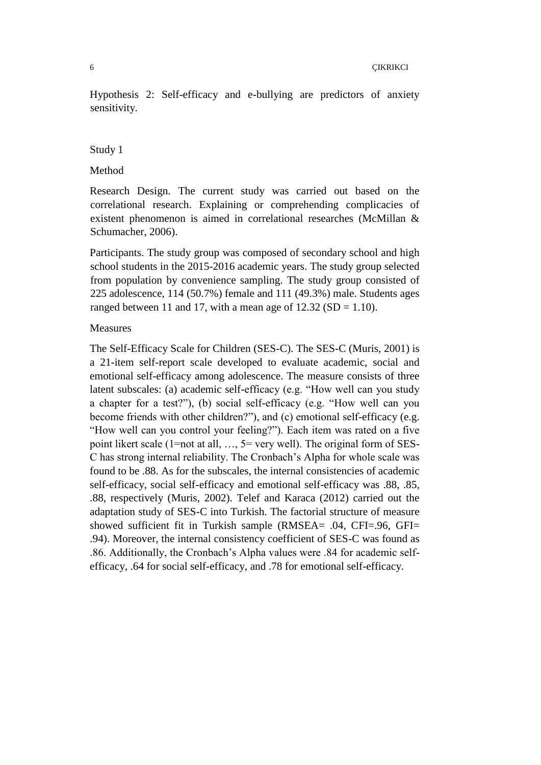Hypothesis 2: Self-efficacy and e-bullying are predictors of anxiety sensitivity.

#### Study 1

#### Method

Research Design. The current study was carried out based on the correlational research. Explaining or comprehending complicacies of existent phenomenon is aimed in correlational researches (McMillan & Schumacher, 2006).

Participants. The study group was composed of secondary school and high school students in the 2015-2016 academic years. The study group selected from population by convenience sampling. The study group consisted of 225 adolescence, 114 (50.7%) female and 111 (49.3%) male. Students ages ranged between 11 and 17, with a mean age of  $12.32$  (SD = 1.10).

#### Measures

The Self-Efficacy Scale for Children (SES-C). The SES-C (Muris, 2001) is a 21-item self-report scale developed to evaluate academic, social and emotional self-efficacy among adolescence. The measure consists of three latent subscales: (a) academic self-efficacy (e.g. "How well can you study a chapter for a test?"), (b) social self-efficacy (e.g. "How well can you become friends with other children?"), and (c) emotional self-efficacy (e.g. "How well can you control your feeling?"). Each item was rated on a five point likert scale (1=not at all, …, 5= very well). The original form of SES-C has strong internal reliability. The Cronbach"s Alpha for whole scale was found to be .88. As for the subscales, the internal consistencies of academic self-efficacy, social self-efficacy and emotional self-efficacy was .88, .85, .88, respectively (Muris, 2002). Telef and Karaca (2012) carried out the adaptation study of SES-C into Turkish. The factorial structure of measure showed sufficient fit in Turkish sample (RMSEA= .04, CFI=.96, GFI= .94). Moreover, the internal consistency coefficient of SES-C was found as .86. Additionally, the Cronbach"s Alpha values were .84 for academic selfefficacy, .64 for social self-efficacy, and .78 for emotional self-efficacy.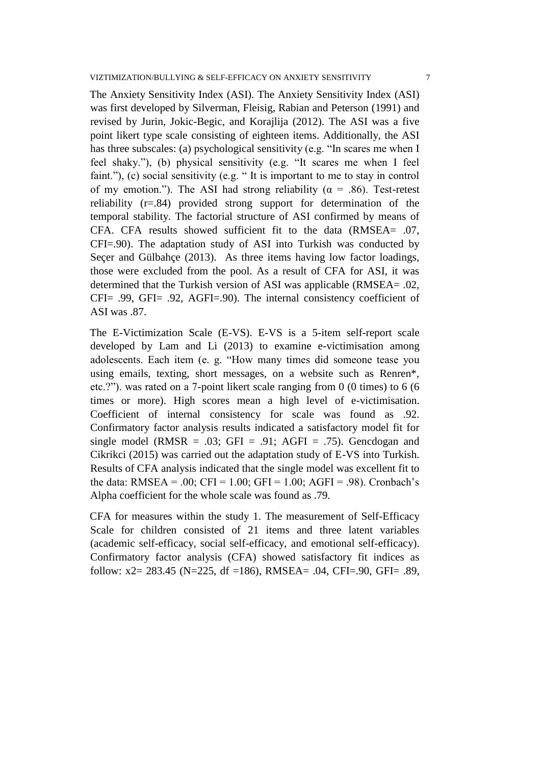The Anxiety Sensitivity Index (ASI). The Anxiety Sensitivity Index (ASI) was first developed by Silverman, Fleisig, Rabian and Peterson (1991) and revised by Jurin, Jokic-Begic, and Korajlija (2012). The ASI was a five point likert type scale consisting of eighteen items. Additionally, the ASI has three subscales: (a) psychological sensitivity (e.g. "In scares me when I feel shaky."), (b) physical sensitivity (e.g. "It scares me when I feel faint."), (c) social sensitivity (e.g. " It is important to me to stay in control of my emotion."). The ASI had strong reliability ( $\alpha = .86$ ). Test-retest reliability (r=.84) provided strong support for determination of the temporal stability. The factorial structure of ASI confirmed by means of CFA. CFA results showed sufficient fit to the data (RMSEA= .07, CFI=.90). The adaptation study of ASI into Turkish was conducted by Secer and Gülbahce (2013). As three items having low factor loadings, those were excluded from the pool. As a result of CFA for ASI, it was determined that the Turkish version of ASI was applicable (RMSEA= .02, CFI= .99, GFI= .92, AGFI=.90). The internal consistency coefficient of ASI was .87.

The E-Victimization Scale (E-VS). E-VS is a 5-item self-report scale developed by Lam and Li (2013) to examine e-victimisation among adolescents. Each item (e. g. "How many times did someone tease you using emails, texting, short messages, on a website such as Renren\*, etc.?"). was rated on a 7-point likert scale ranging from 0 (0 times) to 6 (6 times or more). High scores mean a high level of e-victimisation. Coefficient of internal consistency for scale was found as .92. Confirmatory factor analysis results indicated a satisfactory model fit for single model (RMSR = .03; GFI = .91; AGFI = .75). Gencdogan and Cikrikci (2015) was carried out the adaptation study of E-VS into Turkish. Results of CFA analysis indicated that the single model was excellent fit to the data: RMSEA = .00; CFI = 1.00; GFI = 1.00; AGFI = .98). Cronbach's Alpha coefficient for the whole scale was found as .79.

CFA for measures within the study 1. The measurement of Self-Efficacy Scale for children consisted of 21 items and three latent variables (academic self-efficacy, social self-efficacy, and emotional self-efficacy). Confirmatory factor analysis (CFA) showed satisfactory fit indices as follow: x2= 283.45 (N=225, df =186), RMSEA= .04, CFI=.90, GFI= .89,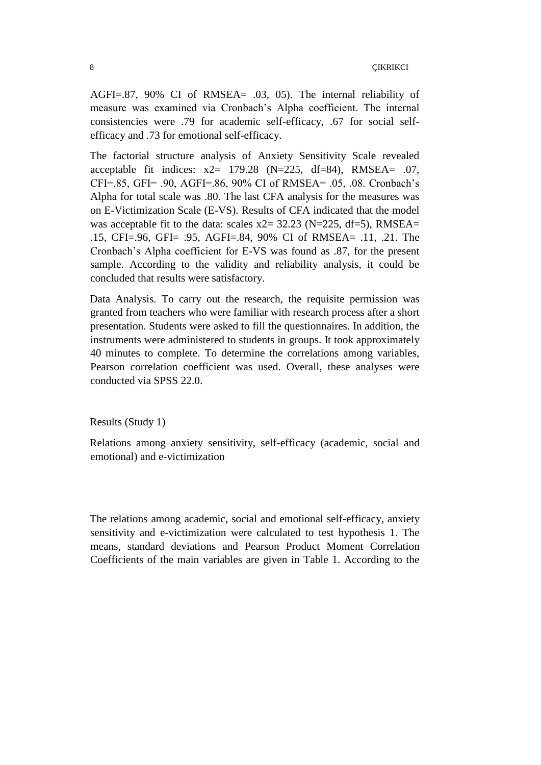AGFI=.87, 90% CI of RMSEA= .03, 05). The internal reliability of measure was examined via Cronbach"s Alpha coefficient. The internal consistencies were .79 for academic self-efficacy, .67 for social selfefficacy and .73 for emotional self-efficacy.

The factorial structure analysis of Anxiety Sensitivity Scale revealed acceptable fit indices:  $x2= 179.28$  (N=225, df=84), RMSEA= .07, CFI=.85, GFI= .90, AGFI=.86, 90% CI of RMSEA= .05, .08. Cronbach"s Alpha for total scale was .80. The last CFA analysis for the measures was on E-Victimization Scale (E-VS). Results of CFA indicated that the model was acceptable fit to the data: scales  $x2 = 32.23$  (N=225, df=5), RMSEA= .15, CFI=.96, GFI= .95, AGFI=.84, 90% CI of RMSEA= .11, .21. The Cronbach"s Alpha coefficient for E-VS was found as .87, for the present sample. According to the validity and reliability analysis, it could be concluded that results were satisfactory.

Data Analysis. To carry out the research, the requisite permission was granted from teachers who were familiar with research process after a short presentation. Students were asked to fill the questionnaires. In addition, the instruments were administered to students in groups. It took approximately 40 minutes to complete. To determine the correlations among variables, Pearson correlation coefficient was used. Overall, these analyses were conducted via SPSS 22.0.

Results (Study 1)

Relations among anxiety sensitivity, self-efficacy (academic, social and emotional) and e-victimization

The relations among academic, social and emotional self-efficacy, anxiety sensitivity and e-victimization were calculated to test hypothesis 1. The means, standard deviations and Pearson Product Moment Correlation Coefficients of the main variables are given in Table 1. According to the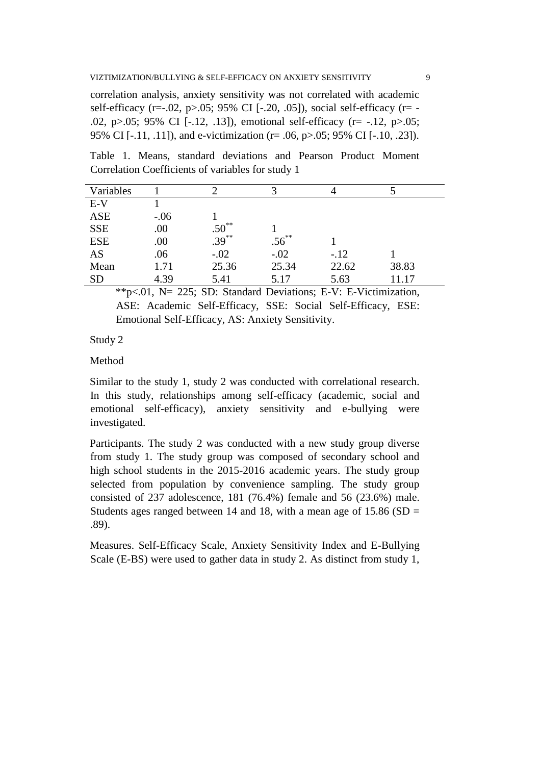correlation analysis, anxiety sensitivity was not correlated with academic self-efficacy (r=-.02, p>.05; 95% CI [-.20, .05]), social self-efficacy (r= - .02, p>.05; 95% CI [-.12, .13]), emotional self-efficacy (r= -.12, p>.05; 95% CI [-.11, .11]), and e-victimization (r= .06, p>.05; 95% CI [-.10, .23]).

Table 1. Means, standard deviations and Pearson Product Moment Correlation Coefficients of variables for study 1

| Variables  |        |                          |            |        |       |
|------------|--------|--------------------------|------------|--------|-------|
| $E-V$      |        |                          |            |        |       |
| <b>ASE</b> | $-.06$ |                          |            |        |       |
| <b>SSE</b> | .00    | $.50^{**}$<br>$.39^{**}$ |            |        |       |
| <b>ESE</b> | .00    |                          | $.56^{**}$ |        |       |
| AS         | .06    | $-.02$                   | $-.02$     | $-.12$ |       |
| Mean       | 1.71   | 25.36                    | 25.34      | 22.62  | 38.83 |
| <b>SD</b>  | 4.39   | 5.41                     | 5.17       | 5.63   | 11.17 |

\*\*p<.01, N= 225; SD: Standard Deviations; E-V: E-Victimization, ASE: Academic Self-Efficacy, SSE: Social Self-Efficacy, ESE: Emotional Self-Efficacy, AS: Anxiety Sensitivity.

Study 2

### Method

Similar to the study 1, study 2 was conducted with correlational research. In this study, relationships among self-efficacy (academic, social and emotional self-efficacy), anxiety sensitivity and e-bullying were investigated.

Participants. The study 2 was conducted with a new study group diverse from study 1. The study group was composed of secondary school and high school students in the 2015-2016 academic years. The study group selected from population by convenience sampling. The study group consisted of 237 adolescence, 181 (76.4%) female and 56 (23.6%) male. Students ages ranged between 14 and 18, with a mean age of  $15.86$  (SD = .89).

Measures. Self-Efficacy Scale, Anxiety Sensitivity Index and E-Bullying Scale (E-BS) were used to gather data in study 2. As distinct from study 1,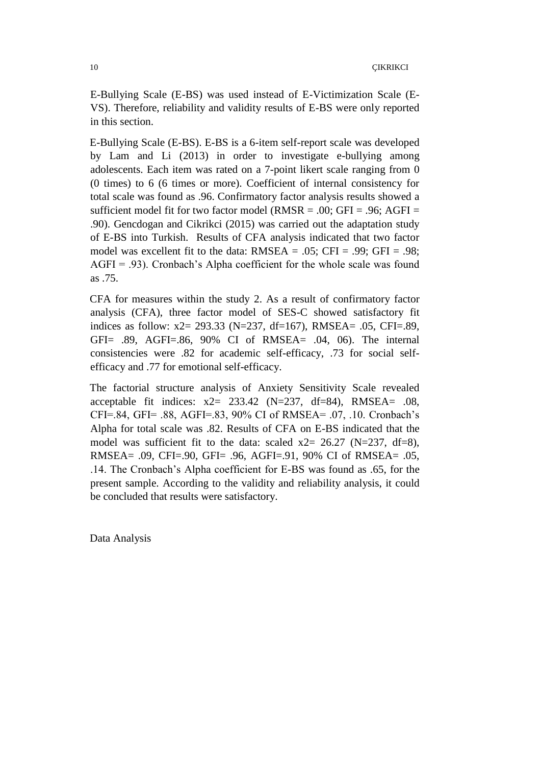E-Bullying Scale (E-BS) was used instead of E-Victimization Scale (E-VS). Therefore, reliability and validity results of E-BS were only reported in this section.

E-Bullying Scale (E-BS). E-BS is a 6-item self-report scale was developed by Lam and Li (2013) in order to investigate e-bullying among adolescents. Each item was rated on a 7-point likert scale ranging from 0 (0 times) to 6 (6 times or more). Coefficient of internal consistency for total scale was found as .96. Confirmatory factor analysis results showed a sufficient model fit for two factor model ( $RMSR = .00$ ;  $GFI = .96$ ;  $AGFI =$ .90). Gencdogan and Cikrikci (2015) was carried out the adaptation study of E-BS into Turkish. Results of CFA analysis indicated that two factor model was excellent fit to the data:  $RMSEA = .05$ ;  $CFI = .99$ ;  $GFI = .98$ ;  $AGFI = .93$ ). Cronbach's Alpha coefficient for the whole scale was found as .75.

CFA for measures within the study 2. As a result of confirmatory factor analysis (CFA), three factor model of SES-C showed satisfactory fit indices as follow: x2= 293.33 (N=237, df=167), RMSEA= .05, CFI=.89, GFI= .89, AGFI=.86, 90% CI of RMSEA= .04, 06). The internal consistencies were .82 for academic self-efficacy, .73 for social selfefficacy and .77 for emotional self-efficacy.

The factorial structure analysis of Anxiety Sensitivity Scale revealed acceptable fit indices:  $x2 = 233.42$  (N=237, df=84), RMSEA= .08, CFI=.84, GFI= .88, AGFI=.83, 90% CI of RMSEA= .07, .10. Cronbach"s Alpha for total scale was .82. Results of CFA on E-BS indicated that the model was sufficient fit to the data: scaled  $x2 = 26.27$  (N=237, df=8), RMSEA= .09, CFI=.90, GFI= .96, AGFI=.91, 90% CI of RMSEA= .05, .14. The Cronbach"s Alpha coefficient for E-BS was found as .65, for the present sample. According to the validity and reliability analysis, it could be concluded that results were satisfactory.

Data Analysis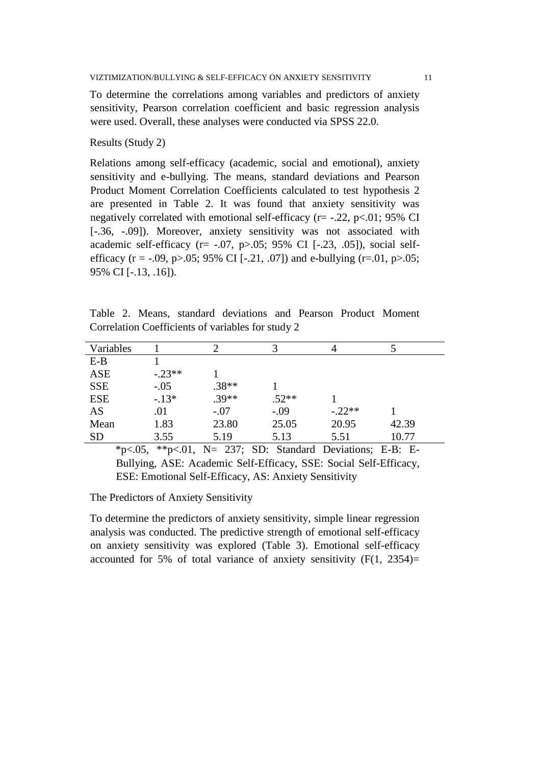To determine the correlations among variables and predictors of anxiety sensitivity, Pearson correlation coefficient and basic regression analysis were used. Overall, these analyses were conducted via SPSS 22.0.

Results (Study 2)

Relations among self-efficacy (academic, social and emotional), anxiety sensitivity and e-bullying. The means, standard deviations and Pearson Product Moment Correlation Coefficients calculated to test hypothesis 2 are presented in Table 2. It was found that anxiety sensitivity was negatively correlated with emotional self-efficacy ( $r = -0.22$ ,  $p < 01$ ; 95% CI [-.36, -.09]). Moreover, anxiety sensitivity was not associated with academic self-efficacy ( $r = -.07$ ,  $p > .05$ ; 95% CI [-.23, .05]), social selfefficacy (r = -.09, p>.05; 95% CI [-.21, .07]) and e-bullying (r=.01, p>.05; 95% CI [-.13, .16]).

Table 2. Means, standard deviations and Pearson Product Moment Correlation Coefficients of variables for study 2

| Variables  |          |         | 2       | 4        |       |
|------------|----------|---------|---------|----------|-------|
| $E-B$      |          |         |         |          |       |
| ASE        | $-.23**$ |         |         |          |       |
| <b>SSE</b> | $-.05$   | $.38**$ |         |          |       |
| <b>ESE</b> | $-13*$   | $.39**$ | $.52**$ |          |       |
| AS         | .01      | $-.07$  | $-.09$  | $-.22**$ |       |
| Mean       | 1.83     | 23.80   | 25.05   | 20.95    | 42.39 |
| <b>SD</b>  | 3.55     | 5.19    | 5.13    | 5.51     | 10.77 |

 $*p<.05$ ,  $*p<.01$ , N= 237; SD: Standard Deviations; E-B: E-Bullying, ASE: Academic Self-Efficacy, SSE: Social Self-Efficacy, ESE: Emotional Self-Efficacy, AS: Anxiety Sensitivity

The Predictors of Anxiety Sensitivity

To determine the predictors of anxiety sensitivity, simple linear regression analysis was conducted. The predictive strength of emotional self-efficacy on anxiety sensitivity was explored (Table 3). Emotional self-efficacy accounted for 5% of total variance of anxiety sensitivity  $(F(1, 2354))$ =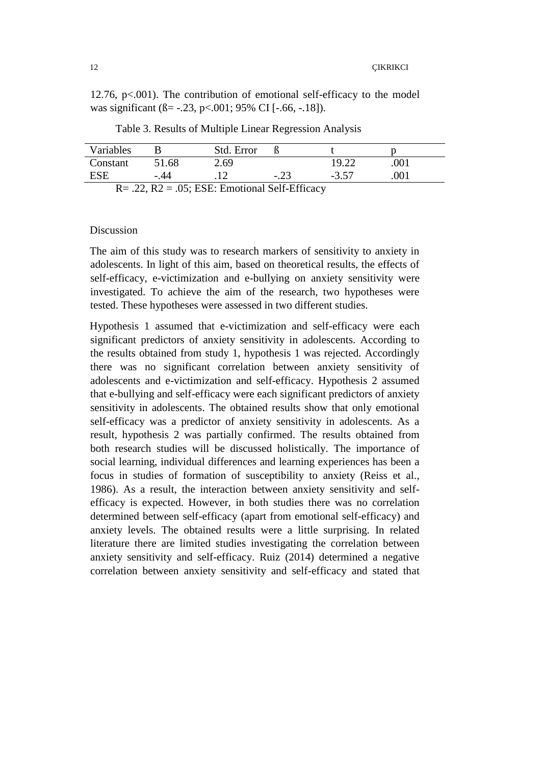12.76,  $p<.001$ ). The contribution of emotional self-efficacy to the model was significant ( $\beta$ = -.23, p<.001; 95% CI [-.66, -.18]).

| Variables    |       | Std. Error     |                    |         |      |  |
|--------------|-------|----------------|--------------------|---------|------|--|
| Constant     | 51.68 | 2.69           |                    | 19.22   | .001 |  |
| ESE          | -.44  |                | -.23               | $-3.57$ | .001 |  |
| <sub>n</sub> | 22.72 | $\alpha$ man m | $1010 \text{ TeV}$ |         |      |  |

Table 3. Results of Multiple Linear Regression Analysis

 $R = .22$ ,  $R2 = .05$ ; ESE: Emotional Self-Efficacy

### Discussion

The aim of this study was to research markers of sensitivity to anxiety in adolescents. In light of this aim, based on theoretical results, the effects of self-efficacy, e-victimization and e-bullying on anxiety sensitivity were investigated. To achieve the aim of the research, two hypotheses were tested. These hypotheses were assessed in two different studies.

Hypothesis 1 assumed that e-victimization and self-efficacy were each significant predictors of anxiety sensitivity in adolescents. According to the results obtained from study 1, hypothesis 1 was rejected. Accordingly there was no significant correlation between anxiety sensitivity of adolescents and e-victimization and self-efficacy. Hypothesis 2 assumed that e-bullying and self-efficacy were each significant predictors of anxiety sensitivity in adolescents. The obtained results show that only emotional self-efficacy was a predictor of anxiety sensitivity in adolescents. As a result, hypothesis 2 was partially confirmed. The results obtained from both research studies will be discussed holistically. The importance of social learning, individual differences and learning experiences has been a focus in studies of formation of susceptibility to anxiety (Reiss et al., 1986). As a result, the interaction between anxiety sensitivity and selfefficacy is expected. However, in both studies there was no correlation determined between self-efficacy (apart from emotional self-efficacy) and anxiety levels. The obtained results were a little surprising. In related literature there are limited studies investigating the correlation between anxiety sensitivity and self-efficacy. Ruiz (2014) determined a negative correlation between anxiety sensitivity and self-efficacy and stated that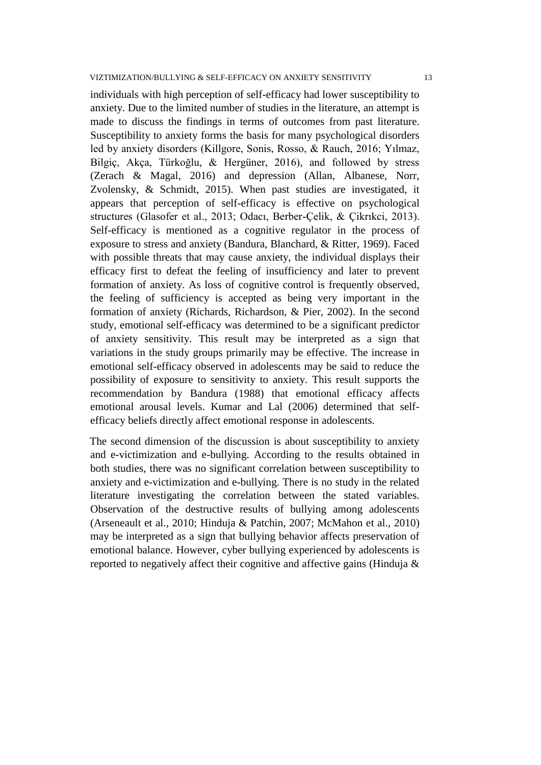individuals with high perception of self-efficacy had lower susceptibility to anxiety. Due to the limited number of studies in the literature, an attempt is made to discuss the findings in terms of outcomes from past literature. Susceptibility to anxiety forms the basis for many psychological disorders led by anxiety disorders (Killgore, Sonis, Rosso, & Rauch, 2016; Yılmaz, Bilgiç, Akça, Türkoğlu, & Hergüner, 2016), and followed by stress (Zerach & Magal, 2016) and depression (Allan, Albanese, Norr, Zvolensky, & Schmidt, 2015). When past studies are investigated, it appears that perception of self-efficacy is effective on psychological structures (Glasofer et al., 2013; Odacı, Berber-Çelik, & Çikrıkci, 2013). Self-efficacy is mentioned as a cognitive regulator in the process of exposure to stress and anxiety (Bandura, Blanchard, & Ritter, 1969). Faced with possible threats that may cause anxiety, the individual displays their efficacy first to defeat the feeling of insufficiency and later to prevent formation of anxiety. As loss of cognitive control is frequently observed, the feeling of sufficiency is accepted as being very important in the formation of anxiety (Richards, Richardson, & Pier, 2002). In the second study, emotional self-efficacy was determined to be a significant predictor of anxiety sensitivity. This result may be interpreted as a sign that variations in the study groups primarily may be effective. The increase in emotional self-efficacy observed in adolescents may be said to reduce the possibility of exposure to sensitivity to anxiety. This result supports the recommendation by Bandura (1988) that emotional efficacy affects emotional arousal levels. Kumar and Lal (2006) determined that selfefficacy beliefs directly affect emotional response in adolescents.

The second dimension of the discussion is about susceptibility to anxiety and e-victimization and e-bullying. According to the results obtained in both studies, there was no significant correlation between susceptibility to anxiety and e-victimization and e-bullying. There is no study in the related literature investigating the correlation between the stated variables. Observation of the destructive results of bullying among adolescents (Arseneault et al., 2010; Hinduja & Patchin, 2007; McMahon et al., 2010) may be interpreted as a sign that bullying behavior affects preservation of emotional balance. However, cyber bullying experienced by adolescents is reported to negatively affect their cognitive and affective gains (Hinduja &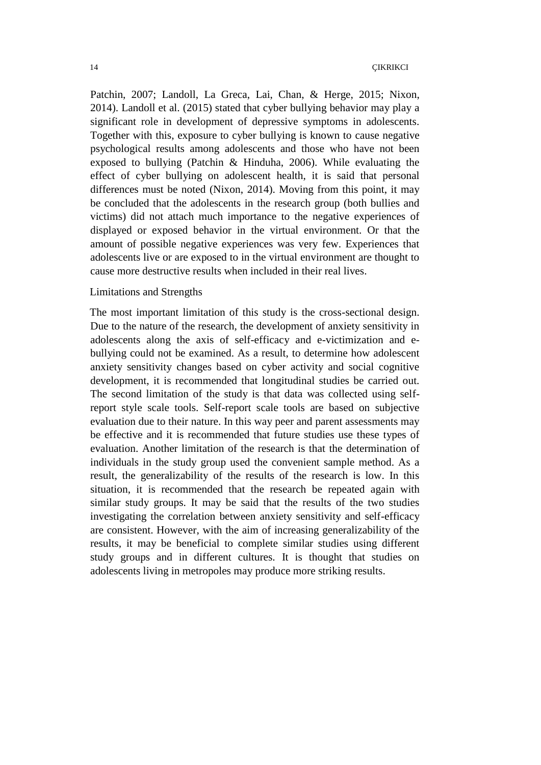Patchin, 2007; Landoll, La Greca, Lai, Chan, & Herge, 2015; Nixon, 2014). Landoll et al. (2015) stated that cyber bullying behavior may play a significant role in development of depressive symptoms in adolescents. Together with this, exposure to cyber bullying is known to cause negative psychological results among adolescents and those who have not been exposed to bullying (Patchin & Hinduha, 2006). While evaluating the effect of cyber bullying on adolescent health, it is said that personal differences must be noted (Nixon, 2014). Moving from this point, it may be concluded that the adolescents in the research group (both bullies and victims) did not attach much importance to the negative experiences of displayed or exposed behavior in the virtual environment. Or that the amount of possible negative experiences was very few. Experiences that adolescents live or are exposed to in the virtual environment are thought to cause more destructive results when included in their real lives.

#### Limitations and Strengths

The most important limitation of this study is the cross-sectional design. Due to the nature of the research, the development of anxiety sensitivity in adolescents along the axis of self-efficacy and e-victimization and ebullying could not be examined. As a result, to determine how adolescent anxiety sensitivity changes based on cyber activity and social cognitive development, it is recommended that longitudinal studies be carried out. The second limitation of the study is that data was collected using selfreport style scale tools. Self-report scale tools are based on subjective evaluation due to their nature. In this way peer and parent assessments may be effective and it is recommended that future studies use these types of evaluation. Another limitation of the research is that the determination of individuals in the study group used the convenient sample method. As a result, the generalizability of the results of the research is low. In this situation, it is recommended that the research be repeated again with similar study groups. It may be said that the results of the two studies investigating the correlation between anxiety sensitivity and self-efficacy are consistent. However, with the aim of increasing generalizability of the results, it may be beneficial to complete similar studies using different study groups and in different cultures. It is thought that studies on adolescents living in metropoles may produce more striking results.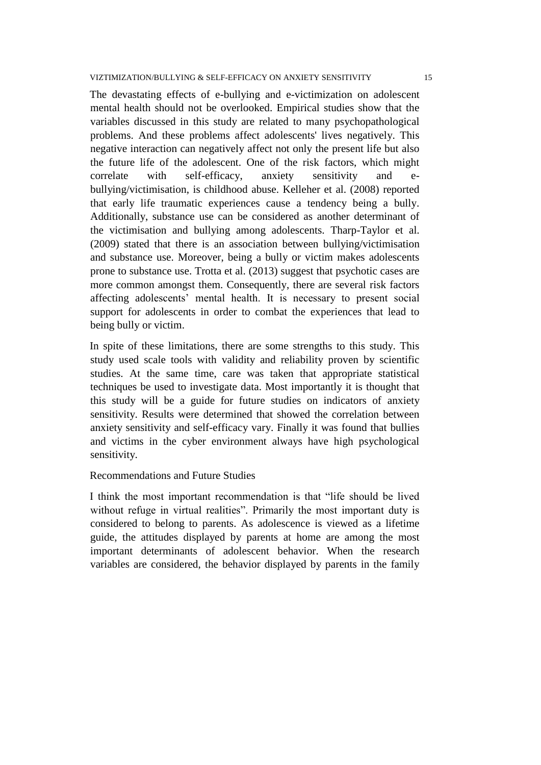The devastating effects of e-bullying and e-victimization on adolescent mental health should not be overlooked. Empirical studies show that the variables discussed in this study are related to many psychopathological problems. And these problems affect adolescents' lives negatively. This negative interaction can negatively affect not only the present life but also the future life of the adolescent. One of the risk factors, which might correlate with self-efficacy, anxiety sensitivity and ebullying/victimisation, is childhood abuse. Kelleher et al. (2008) reported that early life traumatic experiences cause a tendency being a bully. Additionally, substance use can be considered as another determinant of the victimisation and bullying among adolescents. Tharp-Taylor et al. (2009) stated that there is an association between bullying/victimisation and substance use. Moreover, being a bully or victim makes adolescents prone to substance use. Trotta et al. (2013) suggest that psychotic cases are more common amongst them. Consequently, there are several risk factors affecting adolescents" mental health. It is necessary to present social support for adolescents in order to combat the experiences that lead to being bully or victim.

In spite of these limitations, there are some strengths to this study. This study used scale tools with validity and reliability proven by scientific studies. At the same time, care was taken that appropriate statistical techniques be used to investigate data. Most importantly it is thought that this study will be a guide for future studies on indicators of anxiety sensitivity. Results were determined that showed the correlation between anxiety sensitivity and self-efficacy vary. Finally it was found that bullies and victims in the cyber environment always have high psychological sensitivity.

## Recommendations and Future Studies

I think the most important recommendation is that "life should be lived without refuge in virtual realities". Primarily the most important duty is considered to belong to parents. As adolescence is viewed as a lifetime guide, the attitudes displayed by parents at home are among the most important determinants of adolescent behavior. When the research variables are considered, the behavior displayed by parents in the family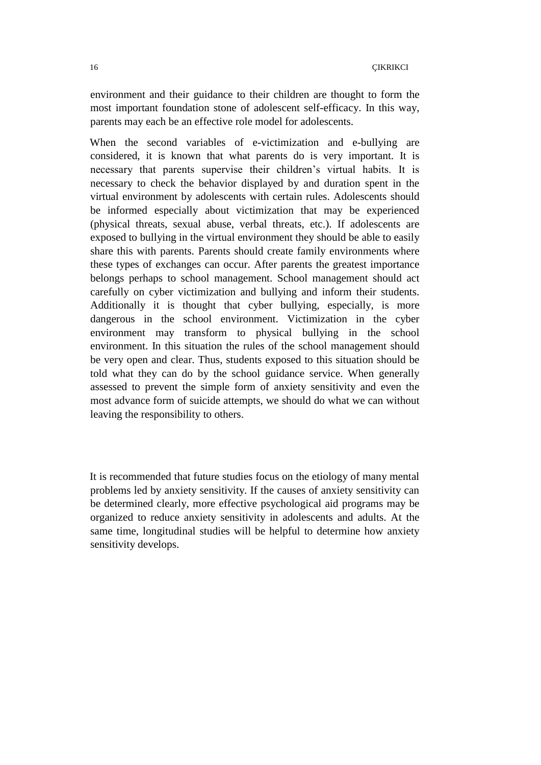environment and their guidance to their children are thought to form the most important foundation stone of adolescent self-efficacy. In this way, parents may each be an effective role model for adolescents.

When the second variables of e-victimization and e-bullying are considered, it is known that what parents do is very important. It is necessary that parents supervise their children"s virtual habits. It is necessary to check the behavior displayed by and duration spent in the virtual environment by adolescents with certain rules. Adolescents should be informed especially about victimization that may be experienced (physical threats, sexual abuse, verbal threats, etc.). If adolescents are exposed to bullying in the virtual environment they should be able to easily share this with parents. Parents should create family environments where these types of exchanges can occur. After parents the greatest importance belongs perhaps to school management. School management should act carefully on cyber victimization and bullying and inform their students. Additionally it is thought that cyber bullying, especially, is more dangerous in the school environment. Victimization in the cyber environment may transform to physical bullying in the school environment. In this situation the rules of the school management should be very open and clear. Thus, students exposed to this situation should be told what they can do by the school guidance service. When generally assessed to prevent the simple form of anxiety sensitivity and even the most advance form of suicide attempts, we should do what we can without leaving the responsibility to others.

It is recommended that future studies focus on the etiology of many mental problems led by anxiety sensitivity. If the causes of anxiety sensitivity can be determined clearly, more effective psychological aid programs may be organized to reduce anxiety sensitivity in adolescents and adults. At the same time, longitudinal studies will be helpful to determine how anxiety sensitivity develops.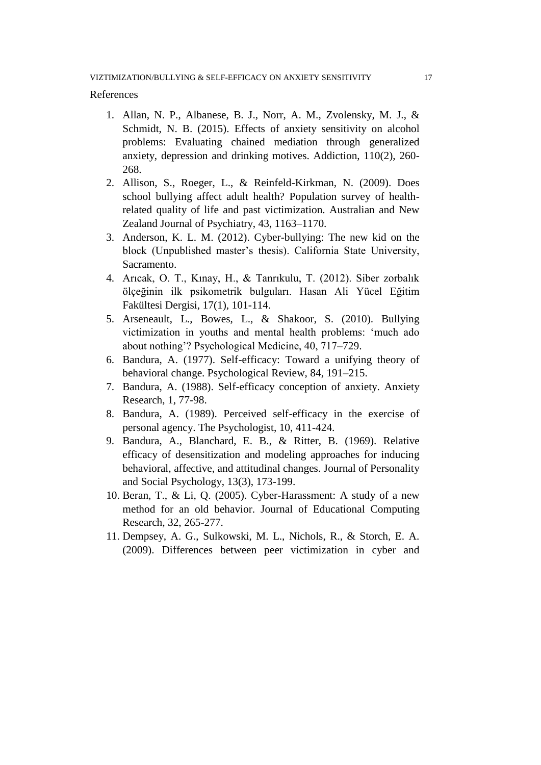#### References

- 1. Allan, N. P., Albanese, B. J., Norr, A. M., Zvolensky, M. J., & Schmidt, N. B. (2015). Effects of anxiety sensitivity on alcohol problems: Evaluating chained mediation through generalized anxiety, depression and drinking motives. Addiction, 110(2), 260- 268.
- 2. Allison, S., Roeger, L., & Reinfeld-Kirkman, N. (2009). Does school bullying affect adult health? Population survey of healthrelated quality of life and past victimization. Australian and New Zealand Journal of Psychiatry, 43, 1163–1170.
- 3. Anderson, K. L. M. (2012). Cyber-bullying: The new kid on the block (Unpublished master's thesis). California State University, Sacramento.
- 4. Arıcak, O. T., Kınay, H., & Tanrıkulu, T. (2012). Siber zorbalık ölçeğinin ilk psikometrik bulguları. Hasan Ali Yücel Eğitim Fakültesi Dergisi, 17(1), 101-114.
- 5. Arseneault, L., Bowes, L., & Shakoor, S. (2010). Bullying victimization in youths and mental health problems: "much ado about nothing"? Psychological Medicine, 40, 717–729.
- 6. Bandura, A. (1977). Self-efficacy: Toward a unifying theory of behavioral change. Psychological Review, 84, 191–215.
- 7. Bandura, A. (1988). Self-efficacy conception of anxiety. Anxiety Research, 1, 77-98.
- 8. Bandura, A. (1989). Perceived self-efficacy in the exercise of personal agency. The Psychologist, 10, 411-424.
- 9. Bandura, A., Blanchard, E. B., & Ritter, B. (1969). Relative efficacy of desensitization and modeling approaches for inducing behavioral, affective, and attitudinal changes. Journal of Personality and Social Psychology, 13(3), 173-199.
- 10. Beran, T., & Li, Q. (2005). Cyber-Harassment: A study of a new method for an old behavior. Journal of Educational Computing Research, 32, 265-277.
- 11. Dempsey, A. G., Sulkowski, M. L., Nichols, R., & Storch, E. A. (2009). Differences between peer victimization in cyber and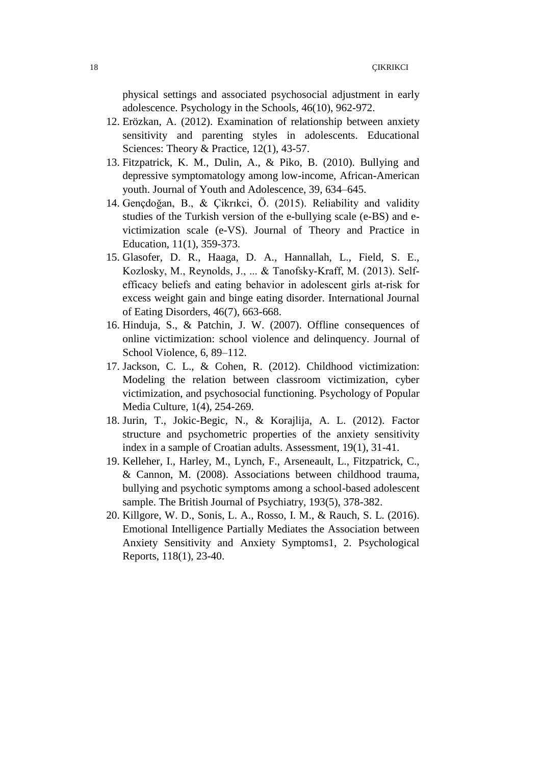physical settings and associated psychosocial adjustment in early adolescence. Psychology in the Schools, 46(10), 962-972.

- 12. Erözkan, A. (2012). Examination of relationship between anxiety sensitivity and parenting styles in adolescents. Educational Sciences: Theory & Practice, 12(1), 43-57.
- 13. Fitzpatrick, K. M., Dulin, A., & Piko, B. (2010). Bullying and depressive symptomatology among low-income, African-American youth. Journal of Youth and Adolescence, 39, 634–645.
- 14. Gençdoğan, B., & Çikrıkci, Ö. (2015). Reliability and validity studies of the Turkish version of the e-bullying scale (e-BS) and evictimization scale (e-VS). Journal of Theory and Practice in Education, 11(1), 359-373.
- 15. Glasofer, D. R., Haaga, D. A., Hannallah, L., Field, S. E., Kozlosky, M., Reynolds, J., ... & Tanofsky‐Kraff, M. (2013). Self‐ efficacy beliefs and eating behavior in adolescent girls at‐risk for excess weight gain and binge eating disorder. International Journal of Eating Disorders, 46(7), 663-668.
- 16. Hinduja, S., & Patchin, J. W. (2007). Offline consequences of online victimization: school violence and delinquency. Journal of School Violence, 6, 89–112.
- 17. Jackson, C. L., & Cohen, R. (2012). Childhood victimization: Modeling the relation between classroom victimization, cyber victimization, and psychosocial functioning. Psychology of Popular Media Culture, 1(4), 254-269.
- 18. Jurin, T., Jokic-Begic, N., & Korajlija, A. L. (2012). Factor structure and psychometric properties of the anxiety sensitivity index in a sample of Croatian adults. Assessment, 19(1), 31-41.
- 19. Kelleher, I., Harley, M., Lynch, F., Arseneault, L., Fitzpatrick, C., & Cannon, M. (2008). Associations between childhood trauma, bullying and psychotic symptoms among a school-based adolescent sample. The British Journal of Psychiatry, 193(5), 378-382.
- 20. Killgore, W. D., Sonis, L. A., Rosso, I. M., & Rauch, S. L. (2016). Emotional Intelligence Partially Mediates the Association between Anxiety Sensitivity and Anxiety Symptoms1, 2. Psychological Reports, 118(1), 23-40.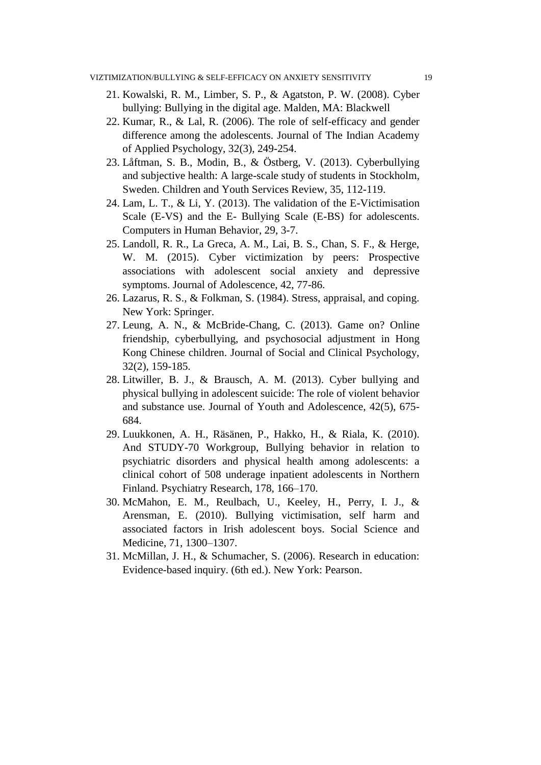- 21. Kowalski, R. M., Limber, S. P., & Agatston, P. W. (2008). Cyber bullying: Bullying in the digital age. Malden, MA: Blackwell
- 22. Kumar, R., & Lal, R. (2006). The role of self-efficacy and gender difference among the adolescents. Journal of The Indian Academy of Applied Psychology, 32(3), 249-254.
- 23. Låftman, S. B., Modin, B., & Östberg, V. (2013). Cyberbullying and subjective health: A large-scale study of students in Stockholm, Sweden. Children and Youth Services Review, 35, 112-119.
- 24. Lam, L. T., & Li, Y. (2013). The validation of the E-Victimisation Scale (E-VS) and the E- Bullying Scale (E-BS) for adolescents. Computers in Human Behavior, 29, 3-7.
- 25. Landoll, R. R., La Greca, A. M., Lai, B. S., Chan, S. F., & Herge, W. M. (2015). Cyber victimization by peers: Prospective associations with adolescent social anxiety and depressive symptoms. Journal of Adolescence, 42, 77-86.
- 26. Lazarus, R. S., & Folkman, S. (1984). Stress, appraisal, and coping. New York: Springer.
- 27. Leung, A. N., & McBride-Chang, C. (2013). Game on? Online friendship, cyberbullying, and psychosocial adjustment in Hong Kong Chinese children. Journal of Social and Clinical Psychology, 32(2), 159-185.
- 28. Litwiller, B. J., & Brausch, A. M. (2013). Cyber bullying and physical bullying in adolescent suicide: The role of violent behavior and substance use. Journal of Youth and Adolescence, 42(5), 675- 684.
- 29. Luukkonen, A. H., Räsänen, P., Hakko, H., & Riala, K. (2010). And STUDY-70 Workgroup, Bullying behavior in relation to psychiatric disorders and physical health among adolescents: a clinical cohort of 508 underage inpatient adolescents in Northern Finland. Psychiatry Research, 178, 166–170.
- 30. McMahon, E. M., Reulbach, U., Keeley, H., Perry, I. J., & Arensman, E. (2010). Bullying victimisation, self harm and associated factors in Irish adolescent boys. Social Science and Medicine, 71, 1300–1307.
- 31. McMillan, J. H., & Schumacher, S. (2006). Research in education: Evidence-based inquiry. (6th ed.). New York: Pearson.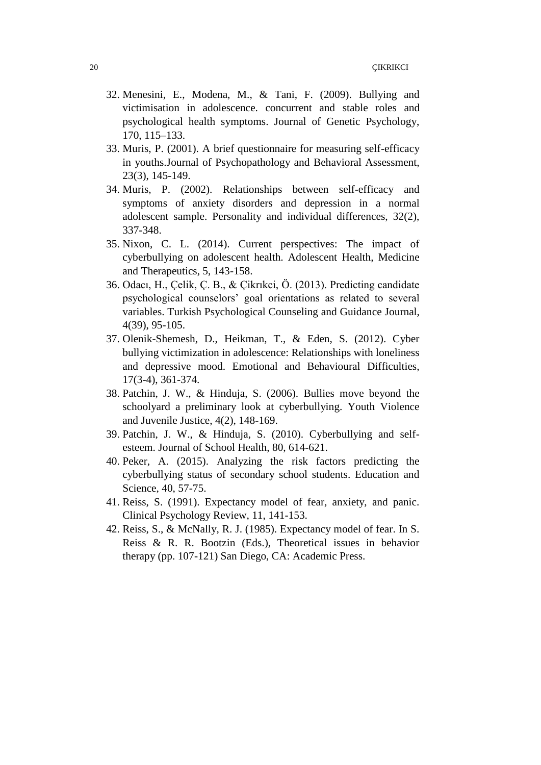- 32. Menesini, E., Modena, M., & Tani, F. (2009). Bullying and victimisation in adolescence. concurrent and stable roles and psychological health symptoms. Journal of Genetic Psychology, 170, 115–133.
- 33. Muris, P. (2001). A brief questionnaire for measuring self-efficacy in youths.Journal of Psychopathology and Behavioral Assessment, 23(3), 145-149.
- 34. Muris, P. (2002). Relationships between self-efficacy and symptoms of anxiety disorders and depression in a normal adolescent sample. Personality and individual differences, 32(2), 337-348.
- 35. Nixon, C. L. (2014). Current perspectives: The impact of cyberbullying on adolescent health. Adolescent Health, Medicine and Therapeutics, 5, 143-158.
- 36. Odacı, H., Çelik, Ç. B., & Çikrıkci, Ö. (2013). Predicting candidate psychological counselors" goal orientations as related to several variables. Turkish Psychological Counseling and Guidance Journal, 4(39), 95-105.
- 37. Olenik-Shemesh, D., Heikman, T., & Eden, S. (2012). Cyber bullying victimization in adolescence: Relationships with loneliness and depressive mood. Emotional and Behavioural Difficulties, 17(3-4), 361-374.
- 38. Patchin, J. W., & Hinduja, S. (2006). Bullies move beyond the schoolyard a preliminary look at cyberbullying. Youth Violence and Juvenile Justice, 4(2), 148-169.
- 39. Patchin, J. W., & Hinduja, S. (2010). Cyberbullying and selfesteem. Journal of School Health, 80, 614-621.
- 40. Peker, A. (2015). Analyzing the risk factors predicting the cyberbullying status of secondary school students. Education and Science, 40, 57-75.
- 41. Reiss, S. (1991). Expectancy model of fear, anxiety, and panic. Clinical Psychology Review, 11, 141-153.
- 42. Reiss, S., & McNally, R. J. (1985). Expectancy model of fear. In S. Reiss & R. R. Bootzin (Eds.), Theoretical issues in behavior therapy (pp. 107-121) San Diego, CA: Academic Press.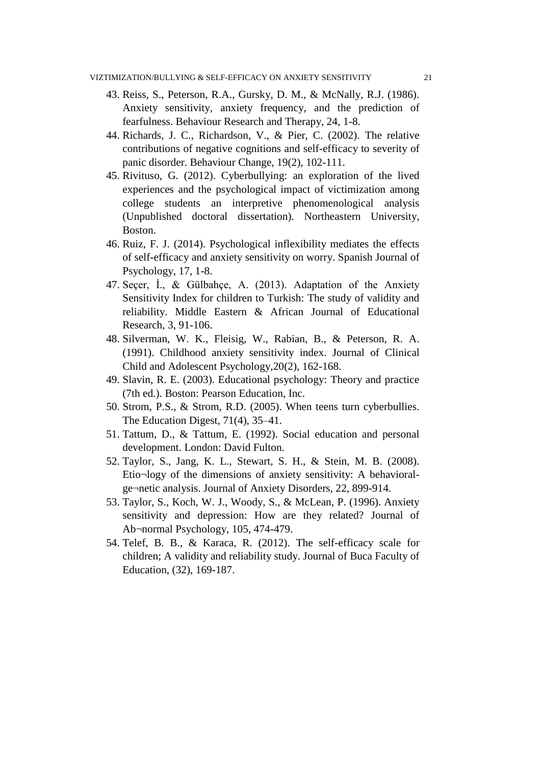- 43. Reiss, S., Peterson, R.A., Gursky, D. M., & McNally, R.J. (1986). Anxiety sensitivity, anxiety frequency, and the prediction of fearfulness. Behaviour Research and Therapy, 24, 1-8.
- 44. Richards, J. C., Richardson, V., & Pier, C. (2002). The relative contributions of negative cognitions and self-efficacy to severity of panic disorder. Behaviour Change, 19(2), 102-111.
- 45. Rivituso, G. (2012). Cyberbullying: an exploration of the lived experiences and the psychological impact of victimization among college students an interpretive phenomenological analysis (Unpublished doctoral dissertation). Northeastern University, Boston.
- 46. Ruiz, F. J. (2014). Psychological inflexibility mediates the effects of self-efficacy and anxiety sensitivity on worry. Spanish Journal of Psychology, 17, 1-8.
- 47. Seçer, İ., & Gülbahçe, A. (2013). Adaptation of the Anxiety Sensitivity Index for children to Turkish: The study of validity and reliability. Middle Eastern & African Journal of Educational Research, 3, 91-106.
- 48. Silverman, W. K., Fleisig, W., Rabian, B., & Peterson, R. A. (1991). Childhood anxiety sensitivity index. Journal of Clinical Child and Adolescent Psychology,20(2), 162-168.
- 49. Slavin, R. E. (2003). Educational psychology: Theory and practice (7th ed.). Boston: Pearson Education, Inc.
- 50. Strom, P.S., & Strom, R.D. (2005). When teens turn cyberbullies. The Education Digest, 71(4), 35–41.
- 51. Tattum, D., & Tattum, E. (1992). Social education and personal development. London: David Fulton.
- 52. Taylor, S., Jang, K. L., Stewart, S. H., & Stein, M. B. (2008). Etio¬logy of the dimensions of anxiety sensitivity: A behavioralge¬netic analysis. Journal of Anxiety Disorders, 22, 899-914.
- 53. Taylor, S., Koch, W. J., Woody, S., & McLean, P. (1996). Anxiety sensitivity and depression: How are they related? Journal of Ab¬normal Psychology, 105, 474-479.
- 54. Telef, B. B., & Karaca, R. (2012). The self-efficacy scale for children; A validity and reliability study. Journal of Buca Faculty of Education, (32), 169-187.